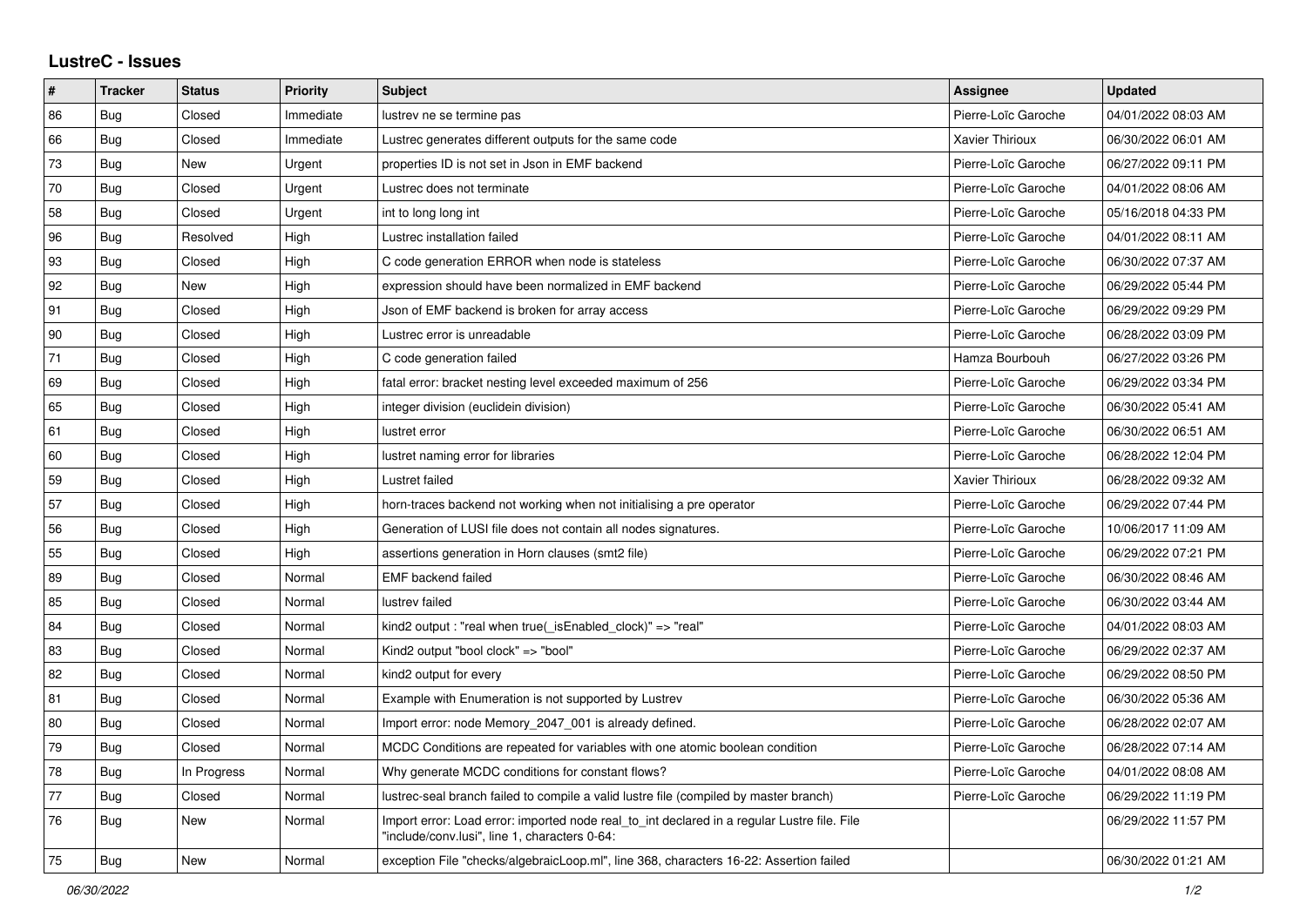## **LustreC - Issues**

| ∦  | <b>Tracker</b> | <b>Status</b> | Priority  | <b>Subject</b>                                                                                                                               | Assignee               | <b>Updated</b>      |
|----|----------------|---------------|-----------|----------------------------------------------------------------------------------------------------------------------------------------------|------------------------|---------------------|
| 86 | Bug            | Closed        | Immediate | lustrev ne se termine pas                                                                                                                    | Pierre-Loïc Garoche    | 04/01/2022 08:03 AM |
| 66 | Bug            | Closed        | Immediate | Lustrec generates different outputs for the same code                                                                                        | <b>Xavier Thirioux</b> | 06/30/2022 06:01 AM |
| 73 | Bug            | <b>New</b>    | Urgent    | properties ID is not set in Json in EMF backend                                                                                              | Pierre-Loïc Garoche    | 06/27/2022 09:11 PM |
| 70 | Bug            | Closed        | Urgent    | Lustrec does not terminate                                                                                                                   | Pierre-Loïc Garoche    | 04/01/2022 08:06 AM |
| 58 | Bug            | Closed        | Urgent    | int to long long int                                                                                                                         | Pierre-Loïc Garoche    | 05/16/2018 04:33 PM |
| 96 | <b>Bug</b>     | Resolved      | High      | Lustrec installation failed                                                                                                                  | Pierre-Loïc Garoche    | 04/01/2022 08:11 AM |
| 93 | Bug            | Closed        | High      | C code generation ERROR when node is stateless                                                                                               | Pierre-Loïc Garoche    | 06/30/2022 07:37 AM |
| 92 | Bug            | <b>New</b>    | High      | expression should have been normalized in EMF backend                                                                                        | Pierre-Loïc Garoche    | 06/29/2022 05:44 PM |
| 91 | <b>Bug</b>     | Closed        | High      | Json of EMF backend is broken for array access                                                                                               | Pierre-Loïc Garoche    | 06/29/2022 09:29 PM |
| 90 | Bug            | Closed        | High      | Lustrec error is unreadable                                                                                                                  | Pierre-Loïc Garoche    | 06/28/2022 03:09 PM |
| 71 | Bug            | Closed        | High      | C code generation failed                                                                                                                     | Hamza Bourbouh         | 06/27/2022 03:26 PM |
| 69 | Bug            | Closed        | High      | fatal error: bracket nesting level exceeded maximum of 256                                                                                   | Pierre-Loïc Garoche    | 06/29/2022 03:34 PM |
| 65 | Bug            | Closed        | High      | integer division (euclidein division)                                                                                                        | Pierre-Loïc Garoche    | 06/30/2022 05:41 AM |
| 61 | Bug            | Closed        | High      | lustret error                                                                                                                                | Pierre-Loïc Garoche    | 06/30/2022 06:51 AM |
| 60 | Bug            | Closed        | High      | lustret naming error for libraries                                                                                                           | Pierre-Loïc Garoche    | 06/28/2022 12:04 PM |
| 59 | <b>Bug</b>     | Closed        | High      | Lustret failed                                                                                                                               | Xavier Thirioux        | 06/28/2022 09:32 AM |
| 57 | Bug            | Closed        | High      | horn-traces backend not working when not initialising a pre operator                                                                         | Pierre-Loïc Garoche    | 06/29/2022 07:44 PM |
| 56 | Bug            | Closed        | High      | Generation of LUSI file does not contain all nodes signatures.                                                                               | Pierre-Loïc Garoche    | 10/06/2017 11:09 AM |
| 55 | Bug            | Closed        | High      | assertions generation in Horn clauses (smt2 file)                                                                                            | Pierre-Loïc Garoche    | 06/29/2022 07:21 PM |
| 89 | Bug            | Closed        | Normal    | <b>EMF</b> backend failed                                                                                                                    | Pierre-Loïc Garoche    | 06/30/2022 08:46 AM |
| 85 | Bug            | Closed        | Normal    | lustrev failed                                                                                                                               | Pierre-Loïc Garoche    | 06/30/2022 03:44 AM |
| 84 | Bug            | Closed        | Normal    | kind2 output : "real when true( isEnabled clock)" => "real"                                                                                  | Pierre-Loïc Garoche    | 04/01/2022 08:03 AM |
| 83 | <b>Bug</b>     | Closed        | Normal    | Kind2 output "bool clock" => "bool"                                                                                                          | Pierre-Loïc Garoche    | 06/29/2022 02:37 AM |
| 82 | Bug            | Closed        | Normal    | kind2 output for every                                                                                                                       | Pierre-Loïc Garoche    | 06/29/2022 08:50 PM |
| 81 | Bug            | Closed        | Normal    | Example with Enumeration is not supported by Lustrev                                                                                         | Pierre-Loïc Garoche    | 06/30/2022 05:36 AM |
| 80 | <b>Bug</b>     | Closed        | Normal    | Import error: node Memory 2047 001 is already defined.                                                                                       | Pierre-Loïc Garoche    | 06/28/2022 02:07 AM |
| 79 | Bug            | Closed        | Normal    | MCDC Conditions are repeated for variables with one atomic boolean condition                                                                 | Pierre-Loïc Garoche    | 06/28/2022 07:14 AM |
| 78 | Bug            | In Progress   | Normal    | Why generate MCDC conditions for constant flows?                                                                                             | Pierre-Loïc Garoche    | 04/01/2022 08:08 AM |
| 77 | <b>Bug</b>     | Closed        | Normal    | lustrec-seal branch failed to compile a valid lustre file (compiled by master branch)                                                        | Pierre-Loïc Garoche    | 06/29/2022 11:19 PM |
| 76 | Bug            | <b>New</b>    | Normal    | Import error: Load error: imported node real to int declared in a regular Lustre file. File<br>"include/conv.lusi". line 1. characters 0-64: |                        | 06/29/2022 11:57 PM |
| 75 | Bug            | <b>New</b>    | Normal    | exception File "checks/algebraicLoop.ml", line 368, characters 16-22: Assertion failed                                                       |                        | 06/30/2022 01:21 AM |